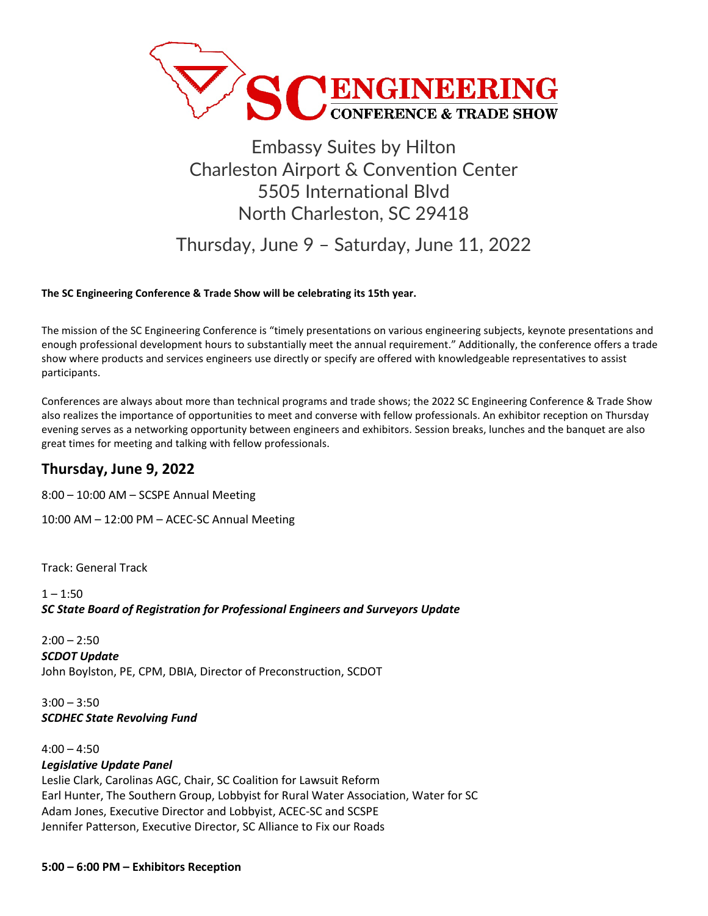

# Embassy Suites by Hilton Charleston Airport & Convention Center 5505 International Blvd North Charleston, SC 29418

Thursday, June 9 – Saturday, June 11, 2022

#### **The SC Engineering Conference & Trade Show will be celebrating its 15th year.**

The mission of the SC Engineering Conference is "timely presentations on various engineering subjects, keynote presentations and enough professional development hours to substantially meet the annual requirement." Additionally, the conference offers a trade show where products and services engineers use directly or specify are offered with knowledgeable representatives to assist participants.

Conferences are always about more than technical programs and trade shows; the 2022 SC Engineering Conference & Trade Show also realizes the importance of opportunities to meet and converse with fellow professionals. An exhibitor reception on Thursday evening serves as a networking opportunity between engineers and exhibitors. Session breaks, lunches and the banquet are also great times for meeting and talking with fellow professionals.

# **Thursday, June 9, 2022**

8:00 – 10:00 AM – SCSPE Annual Meeting

10:00 AM – 12:00 PM – ACEC-SC Annual Meeting

Track: General Track

 $1 - 1:50$ *SC State Board of Registration for Professional Engineers and Surveyors Update*

 $2:00 - 2:50$ *SCDOT Update* John Boylston, PE, CPM, DBIA, Director of Preconstruction, SCDOT

 $3:00 - 3:50$ *SCDHEC State Revolving Fund*

 $4:00 - 4:50$ *Legislative Update Panel* Leslie Clark, Carolinas AGC, Chair, SC Coalition for Lawsuit Reform Earl Hunter, The Southern Group, Lobbyist for Rural Water Association, Water for SC Adam Jones, Executive Director and Lobbyist, ACEC-SC and SCSPE Jennifer Patterson, Executive Director, SC Alliance to Fix our Roads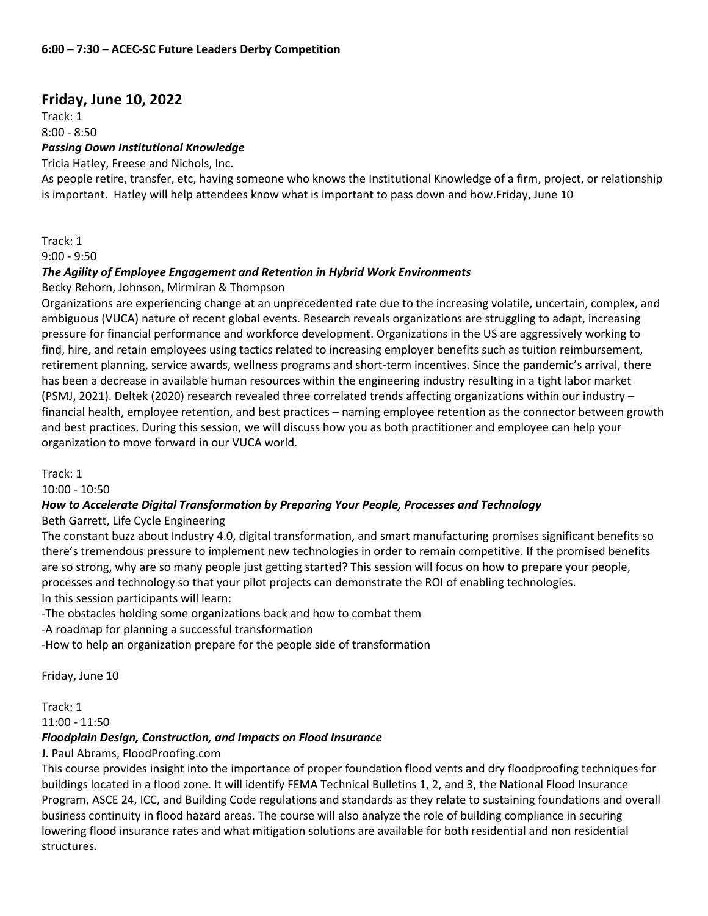# **Friday, June 10, 2022**

Track: 1

### $8:00 - 8:50$

### *Passing Down Institutional Knowledge*

Tricia Hatley, Freese and Nichols, Inc.

As people retire, transfer, etc, having someone who knows the Institutional Knowledge of a firm, project, or relationship is important. Hatley will help attendees know what is important to pass down and how.Friday, June 10

Track: 1

9:00 - 9:50

### *The Agility of Employee Engagement and Retention in Hybrid Work Environments*

Becky Rehorn, Johnson, Mirmiran & Thompson

Organizations are experiencing change at an unprecedented rate due to the increasing volatile, uncertain, complex, and ambiguous (VUCA) nature of recent global events. Research reveals organizations are struggling to adapt, increasing pressure for financial performance and workforce development. Organizations in the US are aggressively working to find, hire, and retain employees using tactics related to increasing employer benefits such as tuition reimbursement, retirement planning, service awards, wellness programs and short-term incentives. Since the pandemic's arrival, there has been a decrease in available human resources within the engineering industry resulting in a tight labor market (PSMJ, 2021). Deltek (2020) research revealed three correlated trends affecting organizations within our industry – financial health, employee retention, and best practices – naming employee retention as the connector between growth and best practices. During this session, we will discuss how you as both practitioner and employee can help your organization to move forward in our VUCA world.

Track: 1

10:00 - 10:50

# *How to Accelerate Digital Transformation by Preparing Your People, Processes and Technology*

Beth Garrett, Life Cycle Engineering

The constant buzz about Industry 4.0, digital transformation, and smart manufacturing promises significant benefits so there's tremendous pressure to implement new technologies in order to remain competitive. If the promised benefits are so strong, why are so many people just getting started? This session will focus on how to prepare your people, processes and technology so that your pilot projects can demonstrate the ROI of enabling technologies. In this session participants will learn:

-The obstacles holding some organizations back and how to combat them

-A roadmap for planning a successful transformation

-How to help an organization prepare for the people side of transformation

Friday, June 10

Track: 1

11:00 - 11:50

# *Floodplain Design, Construction, and Impacts on Flood Insurance*

J. Paul Abrams, FloodProofing.com

This course provides insight into the importance of proper foundation flood vents and dry floodproofing techniques for buildings located in a flood zone. It will identify FEMA Technical Bulletins 1, 2, and 3, the National Flood Insurance Program, ASCE 24, ICC, and Building Code regulations and standards as they relate to sustaining foundations and overall business continuity in flood hazard areas. The course will also analyze the role of building compliance in securing lowering flood insurance rates and what mitigation solutions are available for both residential and non residential structures.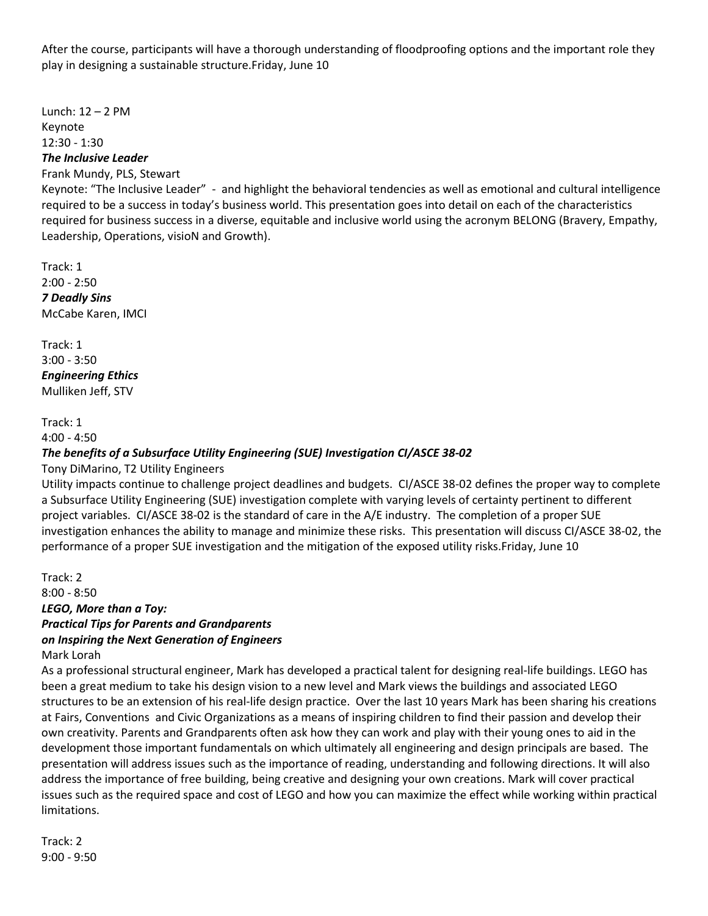After the course, participants will have a thorough understanding of floodproofing options and the important role they play in designing a sustainable structure.Friday, June 10

Lunch: 12 – 2 PM Keynote 12:30 - 1:30 *The Inclusive Leader*

Frank Mundy, PLS, Stewart

Keynote: "The Inclusive Leader" - and highlight the behavioral tendencies as well as emotional and cultural intelligence required to be a success in today's business world. This presentation goes into detail on each of the characteristics required for business success in a diverse, equitable and inclusive world using the acronym BELONG (Bravery, Empathy, Leadership, Operations, visioN and Growth).

Track: 1 2:00 - 2:50 *7 Deadly Sins* McCabe Karen, IMCI

Track: 1 3:00 - 3:50 *Engineering Ethics* Mulliken Jeff, STV

Track: 1 4:00 - 4:50

# *The benefits of a Subsurface Utility Engineering (SUE) Investigation CI/ASCE 38-02*

Tony DiMarino, T2 Utility Engineers

Utility impacts continue to challenge project deadlines and budgets. CI/ASCE 38-02 defines the proper way to complete a Subsurface Utility Engineering (SUE) investigation complete with varying levels of certainty pertinent to different project variables. CI/ASCE 38-02 is the standard of care in the A/E industry. The completion of a proper SUE investigation enhances the ability to manage and minimize these risks. This presentation will discuss CI/ASCE 38-02, the performance of a proper SUE investigation and the mitigation of the exposed utility risks.Friday, June 10

Track: 2 8:00 - 8:50 *LEGO, More than a Toy: Practical Tips for Parents and Grandparents on Inspiring the Next Generation of Engineers*

Mark Lorah

As a professional structural engineer, Mark has developed a practical talent for designing real-life buildings. LEGO has been a great medium to take his design vision to a new level and Mark views the buildings and associated LEGO structures to be an extension of his real-life design practice. Over the last 10 years Mark has been sharing his creations at Fairs, Conventions and Civic Organizations as a means of inspiring children to find their passion and develop their own creativity. Parents and Grandparents often ask how they can work and play with their young ones to aid in the development those important fundamentals on which ultimately all engineering and design principals are based. The presentation will address issues such as the importance of reading, understanding and following directions. It will also address the importance of free building, being creative and designing your own creations. Mark will cover practical issues such as the required space and cost of LEGO and how you can maximize the effect while working within practical limitations.

Track: 2 9:00 - 9:50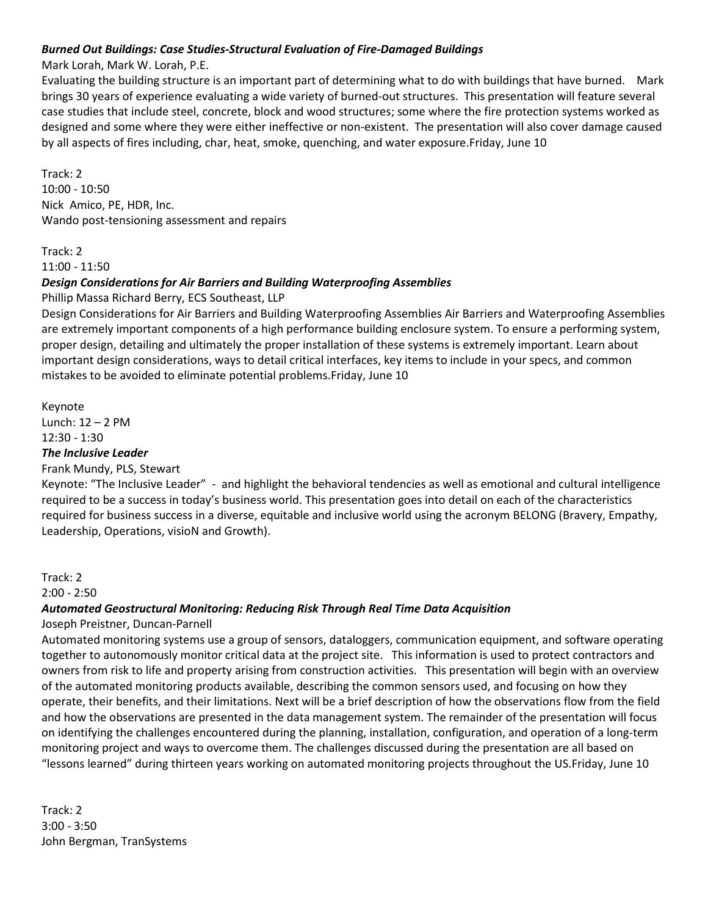### *Burned Out Buildings: Case Studies-Structural Evaluation of Fire-Damaged Buildings*

### Mark Lorah, Mark W. Lorah, P.E.

Evaluating the building structure is an important part of determining what to do with buildings that have burned. Mark brings 30 years of experience evaluating a wide variety of burned-out structures. This presentation will feature several case studies that include steel, concrete, block and wood structures; some where the fire protection systems worked as designed and some where they were either ineffective or non-existent. The presentation will also cover damage caused by all aspects of fires including, char, heat, smoke, quenching, and water exposure.Friday, June 10

Track: 2 10:00 - 10:50 Nick Amico, PE, HDR, Inc. Wando post-tensioning assessment and repairs

#### Track: 2 11:00 - 11:50

### *Design Considerations for Air Barriers and Building Waterproofing Assemblies*

Phillip Massa Richard Berry, ECS Southeast, LLP

Design Considerations for Air Barriers and Building Waterproofing Assemblies Air Barriers and Waterproofing Assemblies are extremely important components of a high performance building enclosure system. To ensure a performing system, proper design, detailing and ultimately the proper installation of these systems is extremely important. Learn about important design considerations, ways to detail critical interfaces, key items to include in your specs, and common mistakes to be avoided to eliminate potential problems.Friday, June 10

# Keynote Lunch: 12 – 2 PM 12:30 - 1:30

# *The Inclusive Leader*

# Frank Mundy, PLS, Stewart

Keynote: "The Inclusive Leader" - and highlight the behavioral tendencies as well as emotional and cultural intelligence required to be a success in today's business world. This presentation goes into detail on each of the characteristics required for business success in a diverse, equitable and inclusive world using the acronym BELONG (Bravery, Empathy, Leadership, Operations, visioN and Growth).

### Track: 2

### 2:00 - 2:50

# *Automated Geostructural Monitoring: Reducing Risk Through Real Time Data Acquisition*

# Joseph Preistner, Duncan-Parnell

Automated monitoring systems use a group of sensors, dataloggers, communication equipment, and software operating together to autonomously monitor critical data at the project site. This information is used to protect contractors and owners from risk to life and property arising from construction activities. This presentation will begin with an overview of the automated monitoring products available, describing the common sensors used, and focusing on how they operate, their benefits, and their limitations. Next will be a brief description of how the observations flow from the field and how the observations are presented in the data management system. The remainder of the presentation will focus on identifying the challenges encountered during the planning, installation, configuration, and operation of a long-term monitoring project and ways to overcome them. The challenges discussed during the presentation are all based on "lessons learned" during thirteen years working on automated monitoring projects throughout the US.Friday, June 10

Track: 2 3:00 - 3:50 John Bergman, TranSystems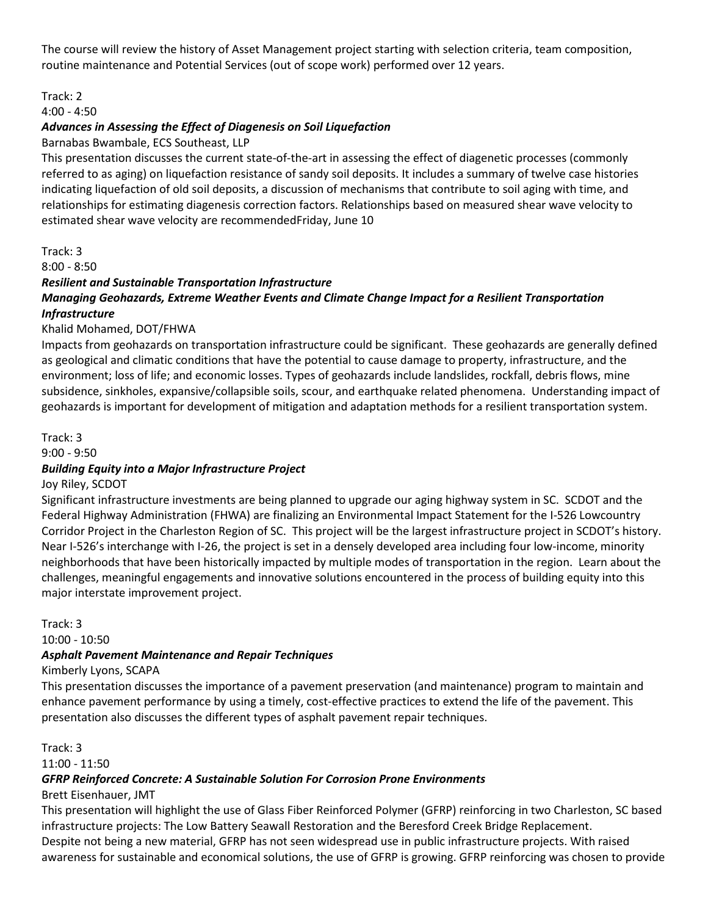The course will review the history of Asset Management project starting with selection criteria, team composition, routine maintenance and Potential Services (out of scope work) performed over 12 years.

# Track: 2

# 4:00 - 4:50

### *Advances in Assessing the Effect of Diagenesis on Soil Liquefaction*

Barnabas Bwambale, ECS Southeast, LLP

This presentation discusses the current state-of-the-art in assessing the effect of diagenetic processes (commonly referred to as aging) on liquefaction resistance of sandy soil deposits. It includes a summary of twelve case histories indicating liquefaction of old soil deposits, a discussion of mechanisms that contribute to soil aging with time, and relationships for estimating diagenesis correction factors. Relationships based on measured shear wave velocity to estimated shear wave velocity are recommendedFriday, June 10

### Track: 3

8:00 - 8:50

# *Resilient and Sustainable Transportation Infrastructure Managing Geohazards, Extreme Weather Events and Climate Change Impact for a Resilient Transportation Infrastructure*

# Khalid Mohamed, DOT/FHWA

Impacts from geohazards on transportation infrastructure could be significant. These geohazards are generally defined as geological and climatic conditions that have the potential to cause damage to property, infrastructure, and the environment; loss of life; and economic losses. Types of geohazards include landslides, rockfall, debris flows, mine subsidence, sinkholes, expansive/collapsible soils, scour, and earthquake related phenomena. Understanding impact of geohazards is important for development of mitigation and adaptation methods for a resilient transportation system.

### Track: 3

9:00 - 9:50

# *Building Equity into a Major Infrastructure Project*

Joy Riley, SCDOT

Significant infrastructure investments are being planned to upgrade our aging highway system in SC. SCDOT and the Federal Highway Administration (FHWA) are finalizing an Environmental Impact Statement for the I-526 Lowcountry Corridor Project in the Charleston Region of SC. This project will be the largest infrastructure project in SCDOT's history. Near I-526's interchange with I-26, the project is set in a densely developed area including four low-income, minority neighborhoods that have been historically impacted by multiple modes of transportation in the region. Learn about the challenges, meaningful engagements and innovative solutions encountered in the process of building equity into this major interstate improvement project.

Track: 3

10:00 - 10:50

# *Asphalt Pavement Maintenance and Repair Techniques*

Kimberly Lyons, SCAPA

This presentation discusses the importance of a pavement preservation (and maintenance) program to maintain and enhance pavement performance by using a timely, cost-effective practices to extend the life of the pavement. This presentation also discusses the different types of asphalt pavement repair techniques.

Track: 3

11:00 - 11:50

# *GFRP Reinforced Concrete: A Sustainable Solution For Corrosion Prone Environments*

Brett Eisenhauer, JMT

This presentation will highlight the use of Glass Fiber Reinforced Polymer (GFRP) reinforcing in two Charleston, SC based infrastructure projects: The Low Battery Seawall Restoration and the Beresford Creek Bridge Replacement. Despite not being a new material, GFRP has not seen widespread use in public infrastructure projects. With raised awareness for sustainable and economical solutions, the use of GFRP is growing. GFRP reinforcing was chosen to provide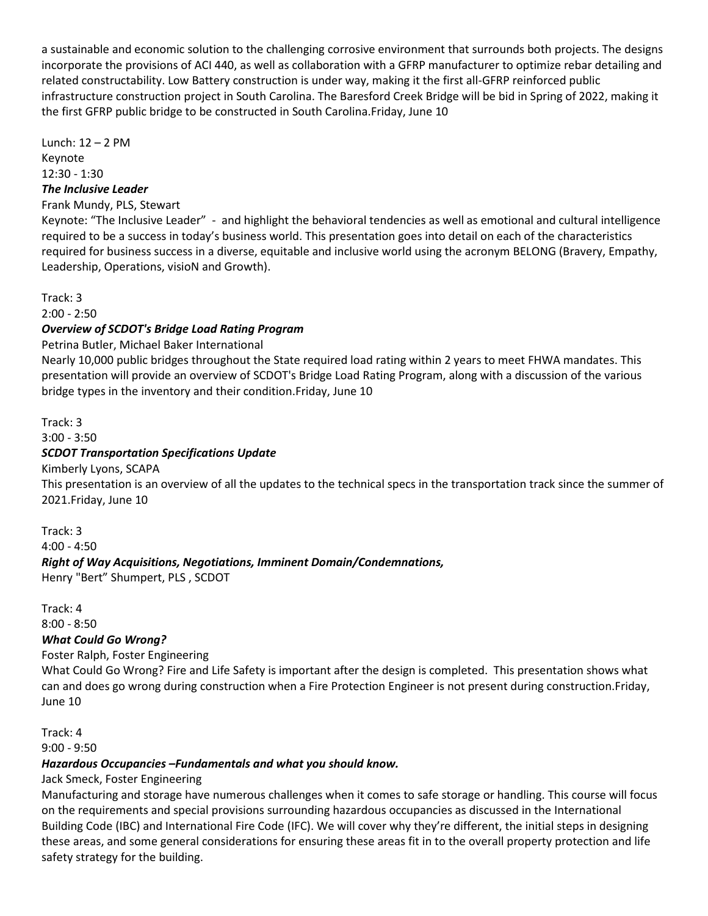a sustainable and economic solution to the challenging corrosive environment that surrounds both projects. The designs incorporate the provisions of ACI 440, as well as collaboration with a GFRP manufacturer to optimize rebar detailing and related constructability. Low Battery construction is under way, making it the first all-GFRP reinforced public infrastructure construction project in South Carolina. The Baresford Creek Bridge will be bid in Spring of 2022, making it the first GFRP public bridge to be constructed in South Carolina.Friday, June 10

Lunch: 12 – 2 PM Keynote 12:30 - 1:30

# *The Inclusive Leader*

# Frank Mundy, PLS, Stewart

Keynote: "The Inclusive Leader" - and highlight the behavioral tendencies as well as emotional and cultural intelligence required to be a success in today's business world. This presentation goes into detail on each of the characteristics required for business success in a diverse, equitable and inclusive world using the acronym BELONG (Bravery, Empathy, Leadership, Operations, visioN and Growth).

Track: 3

2:00 - 2:50

### *Overview of SCDOT's Bridge Load Rating Program*

Petrina Butler, Michael Baker International

Nearly 10,000 public bridges throughout the State required load rating within 2 years to meet FHWA mandates. This presentation will provide an overview of SCDOT's Bridge Load Rating Program, along with a discussion of the various bridge types in the inventory and their condition.Friday, June 10

Track: 3

3:00 - 3:50

### *SCDOT Transportation Specifications Update*

Kimberly Lyons, SCAPA

This presentation is an overview of all the updates to the technical specs in the transportation track since the summer of 2021.Friday, June 10

Track: 3 4:00 - 4:50 *Right of Way Acquisitions, Negotiations, Imminent Domain/Condemnations,* Henry "Bert" Shumpert, PLS , SCDOT

Track: 4 8:00 - 8:50

### *What Could Go Wrong?*

Foster Ralph, Foster Engineering

What Could Go Wrong? Fire and Life Safety is important after the design is completed. This presentation shows what can and does go wrong during construction when a Fire Protection Engineer is not present during construction.Friday, June 10

Track: 4

9:00 - 9:50

### *Hazardous Occupancies –Fundamentals and what you should know.*

Jack Smeck, Foster Engineering

Manufacturing and storage have numerous challenges when it comes to safe storage or handling. This course will focus on the requirements and special provisions surrounding hazardous occupancies as discussed in the International Building Code (IBC) and International Fire Code (IFC). We will cover why they're different, the initial steps in designing these areas, and some general considerations for ensuring these areas fit in to the overall property protection and life safety strategy for the building.